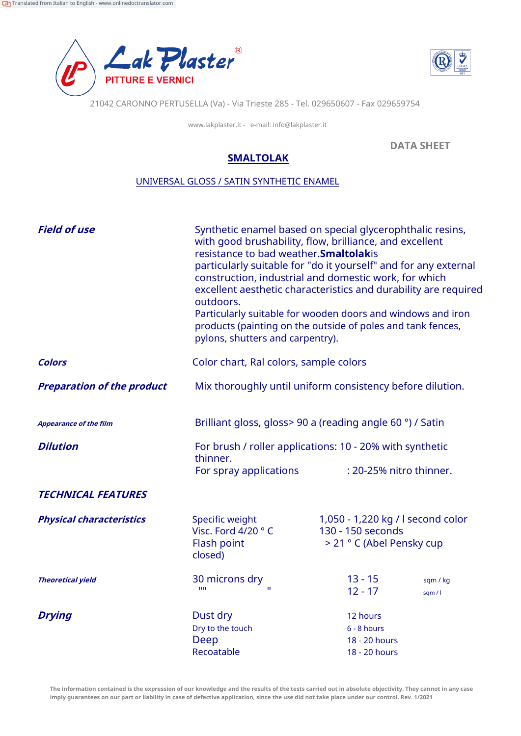



21042 CARONNO PERTUSELLA (Va) - Via Trieste 285 - Tel. 029650607 - Fax 029659754

www.lakplaster.it - e-mail: info@lakplaster.it

**DATA SHEET**

## **SMALTOLAK**

## UNIVERSAL GLOSS / SATIN SYNTHETIC ENAMEL

| <b>Field of use</b>               | Synthetic enamel based on special glycerophthalic resins,<br>with good brushability, flow, brilliance, and excellent<br>resistance to bad weather. Smaltolakis<br>particularly suitable for "do it yourself" and for any external<br>construction, industrial and domestic work, for which<br>excellent aesthetic characteristics and durability are required<br>outdoors.<br>Particularly suitable for wooden doors and windows and iron<br>products (painting on the outside of poles and tank fences,<br>pylons, shutters and carpentry). |  |                                                                                     |                     |
|-----------------------------------|----------------------------------------------------------------------------------------------------------------------------------------------------------------------------------------------------------------------------------------------------------------------------------------------------------------------------------------------------------------------------------------------------------------------------------------------------------------------------------------------------------------------------------------------|--|-------------------------------------------------------------------------------------|---------------------|
| <b>Colors</b>                     | Color chart, Ral colors, sample colors                                                                                                                                                                                                                                                                                                                                                                                                                                                                                                       |  |                                                                                     |                     |
| <b>Preparation of the product</b> | Mix thoroughly until uniform consistency before dilution.                                                                                                                                                                                                                                                                                                                                                                                                                                                                                    |  |                                                                                     |                     |
| <b>Appearance of the film</b>     | Brilliant gloss, gloss> 90 a (reading angle 60 °) / Satin                                                                                                                                                                                                                                                                                                                                                                                                                                                                                    |  |                                                                                     |                     |
| <b>Dilution</b>                   | For brush / roller applications: 10 - 20% with synthetic<br>thinner.                                                                                                                                                                                                                                                                                                                                                                                                                                                                         |  |                                                                                     |                     |
|                                   | For spray applications                                                                                                                                                                                                                                                                                                                                                                                                                                                                                                                       |  | : 20-25% nitro thinner.                                                             |                     |
| <b>TECHNICAL FEATURES</b>         |                                                                                                                                                                                                                                                                                                                                                                                                                                                                                                                                              |  |                                                                                     |                     |
| <b>Physical characteristics</b>   | Specific weight<br>Visc. Ford 4/20 °C<br>Flash point<br>closed)                                                                                                                                                                                                                                                                                                                                                                                                                                                                              |  | 1,050 - 1,220 kg / l second color<br>130 - 150 seconds<br>> 21 ° C (Abel Pensky cup |                     |
| <b>Theoretical yield</b>          | 30 microns dry<br>1111<br>$\mathbf{H}$                                                                                                                                                                                                                                                                                                                                                                                                                                                                                                       |  | $13 - 15$<br>$12 - 17$                                                              | sqm / kg<br>sqm / l |
| <b>Drying</b>                     | Dust dry<br>Dry to the touch<br>Deep<br>Recoatable                                                                                                                                                                                                                                                                                                                                                                                                                                                                                           |  | 12 hours<br>$6 - 8$ hours<br>18 - 20 hours<br>18 - 20 hours                         |                     |

**The information contained is the expression of our knowledge and the results of the tests carried out in absolute objectivity. They cannot in any case imply guarantees on our part or liability in case of defective application, since the use did not take place under our control. Rev. 1/2021**